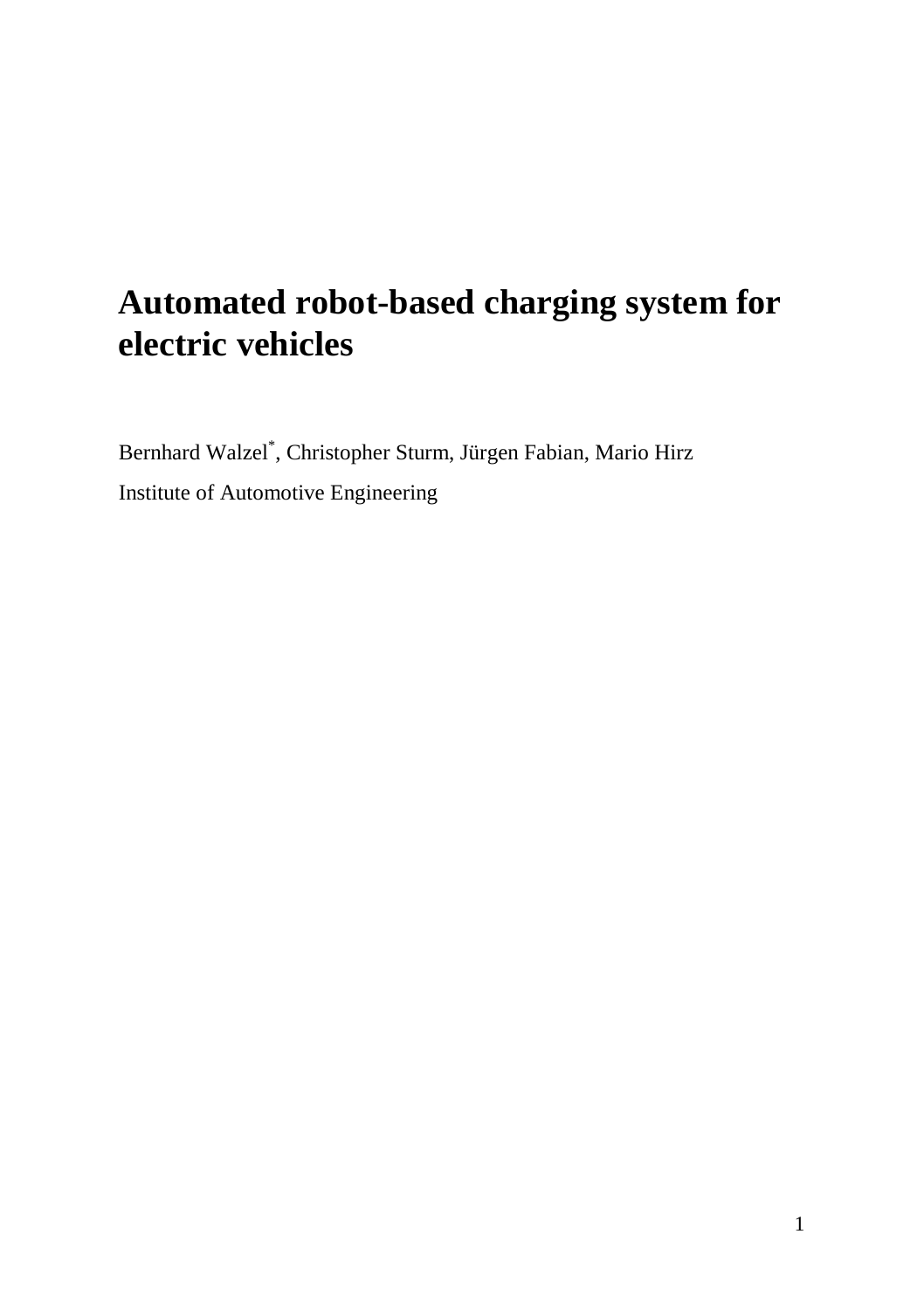# **Automated robot-based charging system for electric vehicles**

Bernhard Walzel\* , Christopher Sturm, Jürgen Fabian, Mario Hirz Institute of Automotive Engineering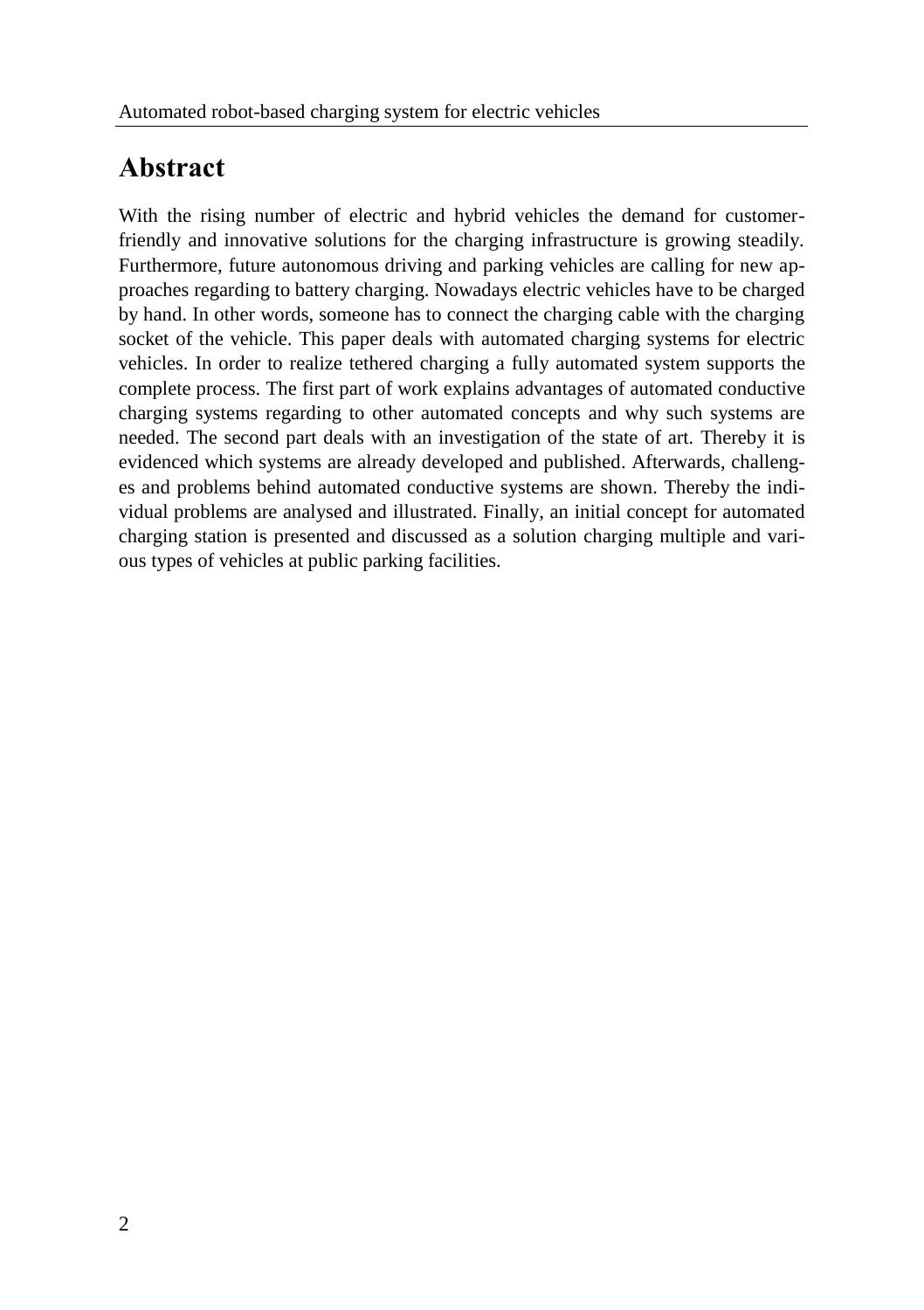## **Abstract**

With the rising number of electric and hybrid vehicles the demand for customerfriendly and innovative solutions for the charging infrastructure is growing steadily. Furthermore, future autonomous driving and parking vehicles are calling for new approaches regarding to battery charging. Nowadays electric vehicles have to be charged by hand. In other words, someone has to connect the charging cable with the charging socket of the vehicle. This paper deals with automated charging systems for electric vehicles. In order to realize tethered charging a fully automated system supports the complete process. The first part of work explains advantages of automated conductive charging systems regarding to other automated concepts and why such systems are needed. The second part deals with an investigation of the state of art. Thereby it is evidenced which systems are already developed and published. Afterwards, challenges and problems behind automated conductive systems are shown. Thereby the individual problems are analysed and illustrated. Finally, an initial concept for automated charging station is presented and discussed as a solution charging multiple and various types of vehicles at public parking facilities.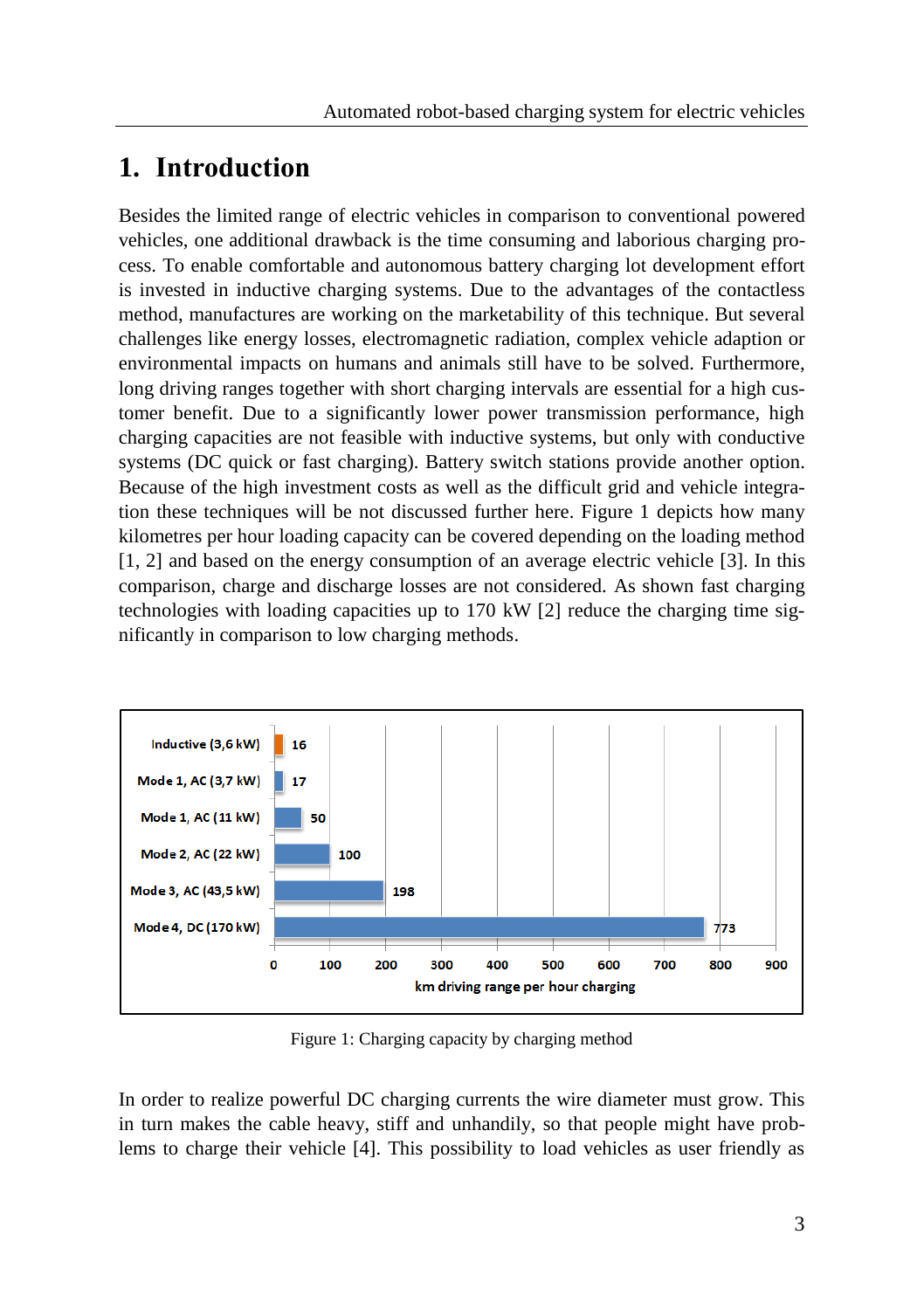#### **1. Introduction**

Besides the limited range of electric vehicles in comparison to conventional powered vehicles, one additional drawback is the time consuming and laborious charging process. To enable comfortable and autonomous battery charging lot development effort is invested in inductive charging systems. Due to the advantages of the contactless method, manufactures are working on the marketability of this technique. But several challenges like energy losses, electromagnetic radiation, complex vehicle adaption or environmental impacts on humans and animals still have to be solved. Furthermore, long driving ranges together with short charging intervals are essential for a high customer benefit. Due to a significantly lower power transmission performance, high charging capacities are not feasible with inductive systems, but only with conductive systems (DC quick or fast charging). Battery switch stations provide another option. Because of the high investment costs as well as the difficult grid and vehicle integration these techniques will be not discussed further here. [Figure 1](#page-2-0) depicts how many kilometres per hour loading capacity can be covered depending on the loading method [1, 2] and based on the energy consumption of an average electric vehicle [3]. In this comparison, charge and discharge losses are not considered. As shown fast charging technologies with loading capacities up to 170 kW [2] reduce the charging time significantly in comparison to low charging methods.



Figure 1: Charging capacity by charging method

<span id="page-2-0"></span>In order to realize powerful DC charging currents the wire diameter must grow. This in turn makes the cable heavy, stiff and unhandily, so that people might have problems to charge their vehicle [4]. This possibility to load vehicles as user friendly as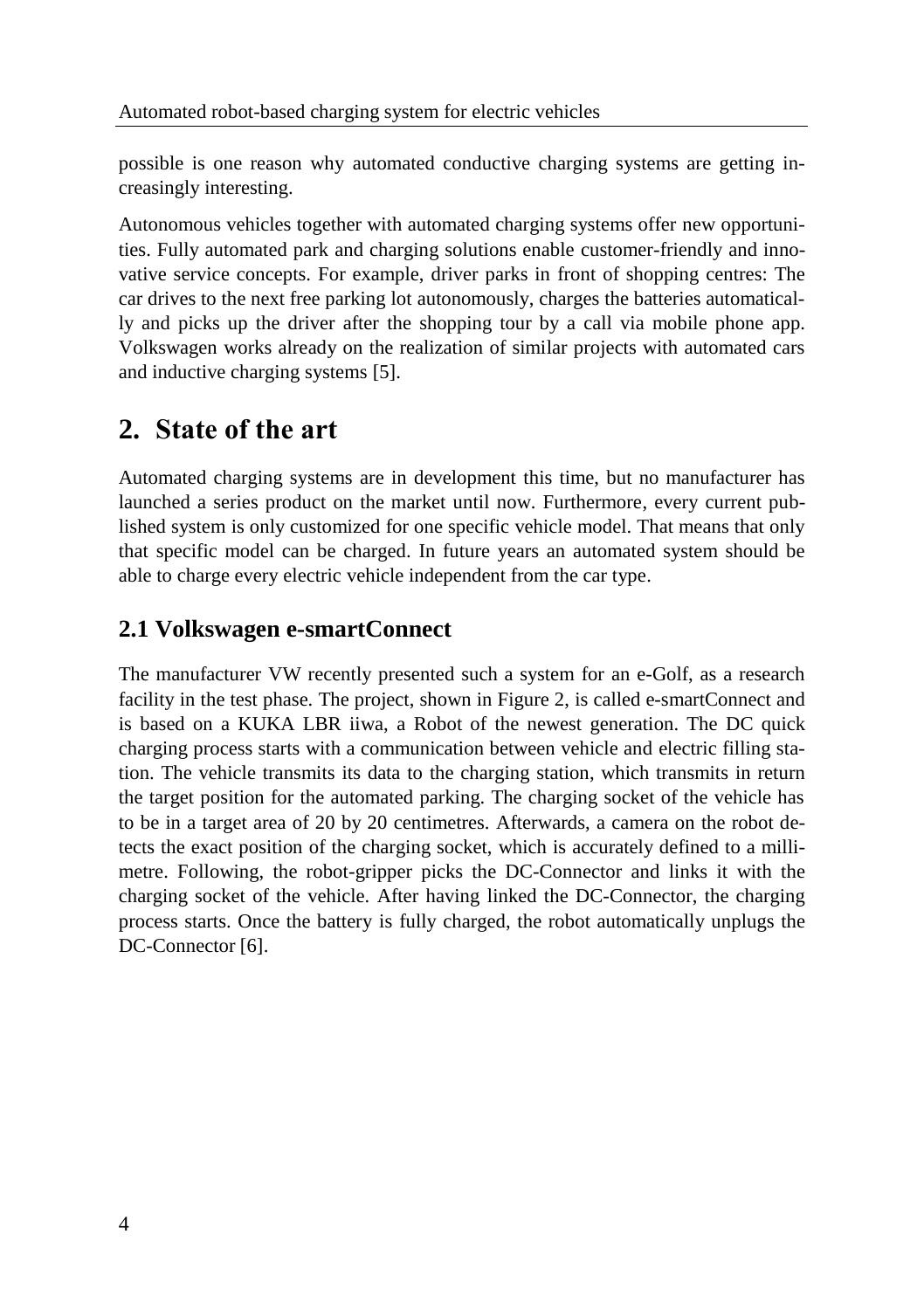possible is one reason why automated conductive charging systems are getting increasingly interesting.

Autonomous vehicles together with automated charging systems offer new opportunities. Fully automated park and charging solutions enable customer-friendly and innovative service concepts. For example, driver parks in front of shopping centres: The car drives to the next free parking lot autonomously, charges the batteries automatically and picks up the driver after the shopping tour by a call via mobile phone app. Volkswagen works already on the realization of similar projects with automated cars and inductive charging systems [5].

## **2. State of the art**

Automated charging systems are in development this time, but no manufacturer has launched a series product on the market until now. Furthermore, every current published system is only customized for one specific vehicle model. That means that only that specific model can be charged. In future years an automated system should be able to charge every electric vehicle independent from the car type.

#### **2.1 Volkswagen e-smartConnect**

The manufacturer VW recently presented such a system for an e-Golf, as a research facility in the test phase. The project, shown in Figure 2, is called e-smartConnect and is based on a KUKA LBR iiwa, a Robot of the newest generation. The DC quick charging process starts with a communication between vehicle and electric filling station. The vehicle transmits its data to the charging station, which transmits in return the target position for the automated parking. The charging socket of the vehicle has to be in a target area of 20 by 20 centimetres. Afterwards, a camera on the robot detects the exact position of the charging socket, which is accurately defined to a millimetre. Following, the robot-gripper picks the DC-Connector and links it with the charging socket of the vehicle. After having linked the DC-Connector, the charging process starts. Once the battery is fully charged, the robot automatically unplugs the DC-Connector [6].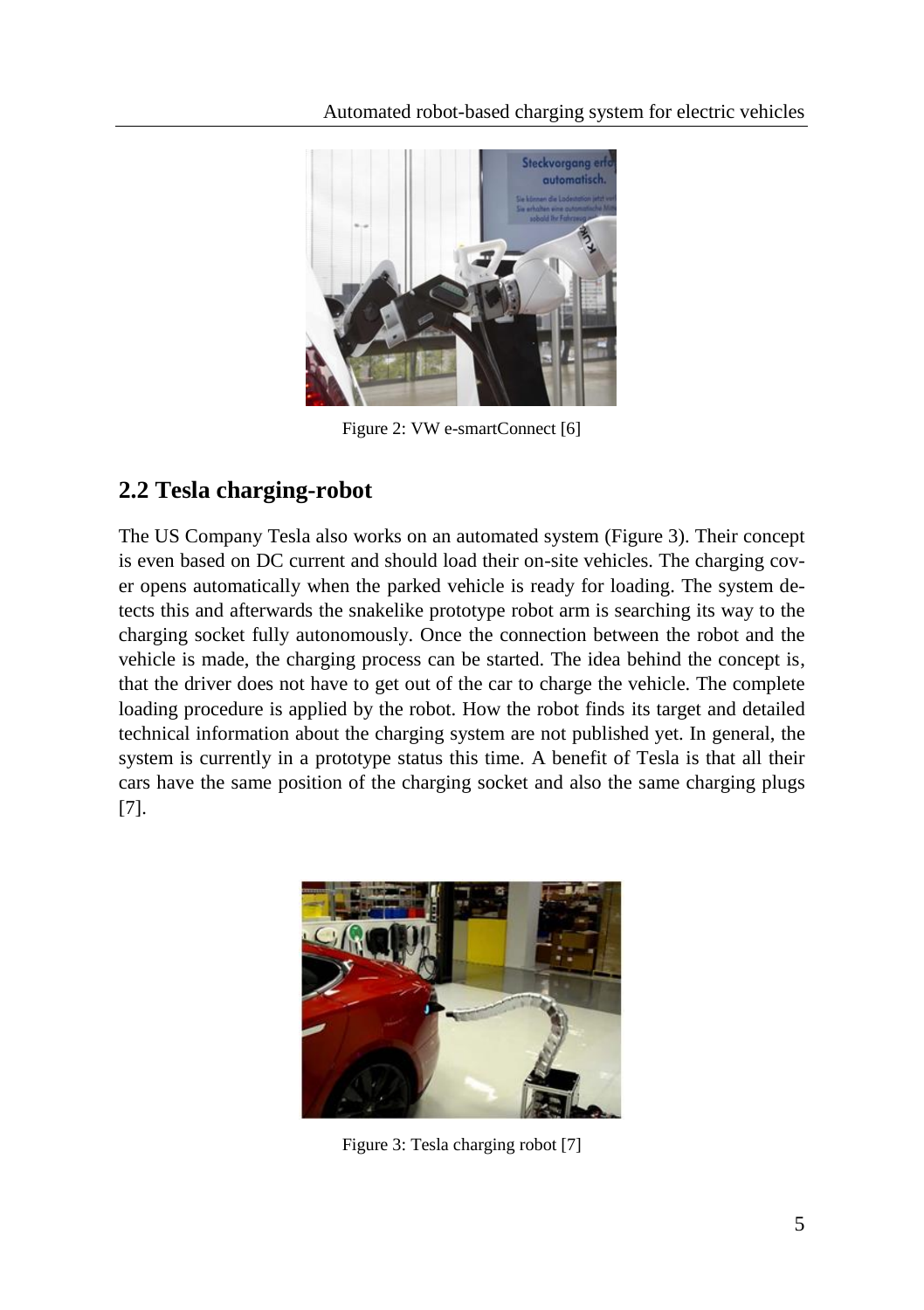

Figure 2: VW e-smartConnect [6]

#### **2.2 Tesla charging-robot**

The US Company Tesla also works on an automated system (Figure 3). Their concept is even based on DC current and should load their on-site vehicles. The charging cover opens automatically when the parked vehicle is ready for loading. The system detects this and afterwards the snakelike prototype robot arm is searching its way to the charging socket fully autonomously. Once the connection between the robot and the vehicle is made, the charging process can be started. The idea behind the concept is, that the driver does not have to get out of the car to charge the vehicle. The complete loading procedure is applied by the robot. How the robot finds its target and detailed technical information about the charging system are not published yet. In general, the system is currently in a prototype status this time. A benefit of Tesla is that all their cars have the same position of the charging socket and also the same charging plugs [7].



Figure 3: Tesla charging robot [7]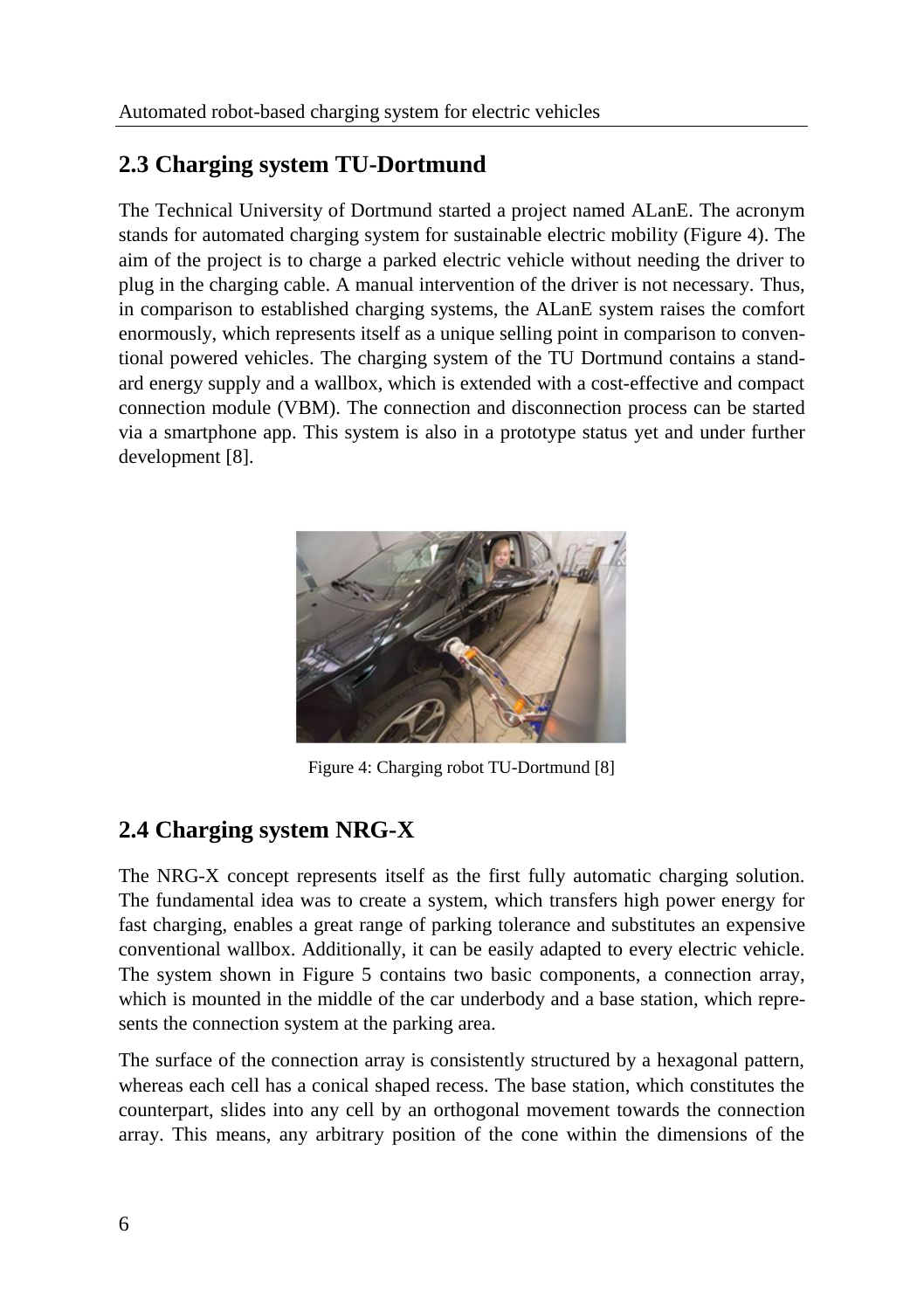#### **2.3 Charging system TU-Dortmund**

The Technical University of Dortmund started a project named ALanE. The acronym stands for automated charging system for sustainable electric mobility (Figure 4). The aim of the project is to charge a parked electric vehicle without needing the driver to plug in the charging cable. A manual intervention of the driver is not necessary. Thus, in comparison to established charging systems, the ALanE system raises the comfort enormously, which represents itself as a unique selling point in comparison to conventional powered vehicles. The charging system of the TU Dortmund contains a standard energy supply and a wallbox, which is extended with a cost-effective and compact connection module (VBM). The connection and disconnection process can be started via a smartphone app. This system is also in a prototype status yet and under further development [8].



Figure 4: Charging robot TU-Dortmund [8]

#### **2.4 Charging system NRG-X**

The NRG-X concept represents itself as the first fully automatic charging solution. The fundamental idea was to create a system, which transfers high power energy for fast charging, enables a great range of parking tolerance and substitutes an expensive conventional wallbox. Additionally, it can be easily adapted to every electric vehicle. The system shown in Figure 5 contains two basic components, a connection array, which is mounted in the middle of the car underbody and a base station, which represents the connection system at the parking area.

The surface of the connection array is consistently structured by a hexagonal pattern, whereas each cell has a conical shaped recess. The base station, which constitutes the counterpart, slides into any cell by an orthogonal movement towards the connection array. This means, any arbitrary position of the cone within the dimensions of the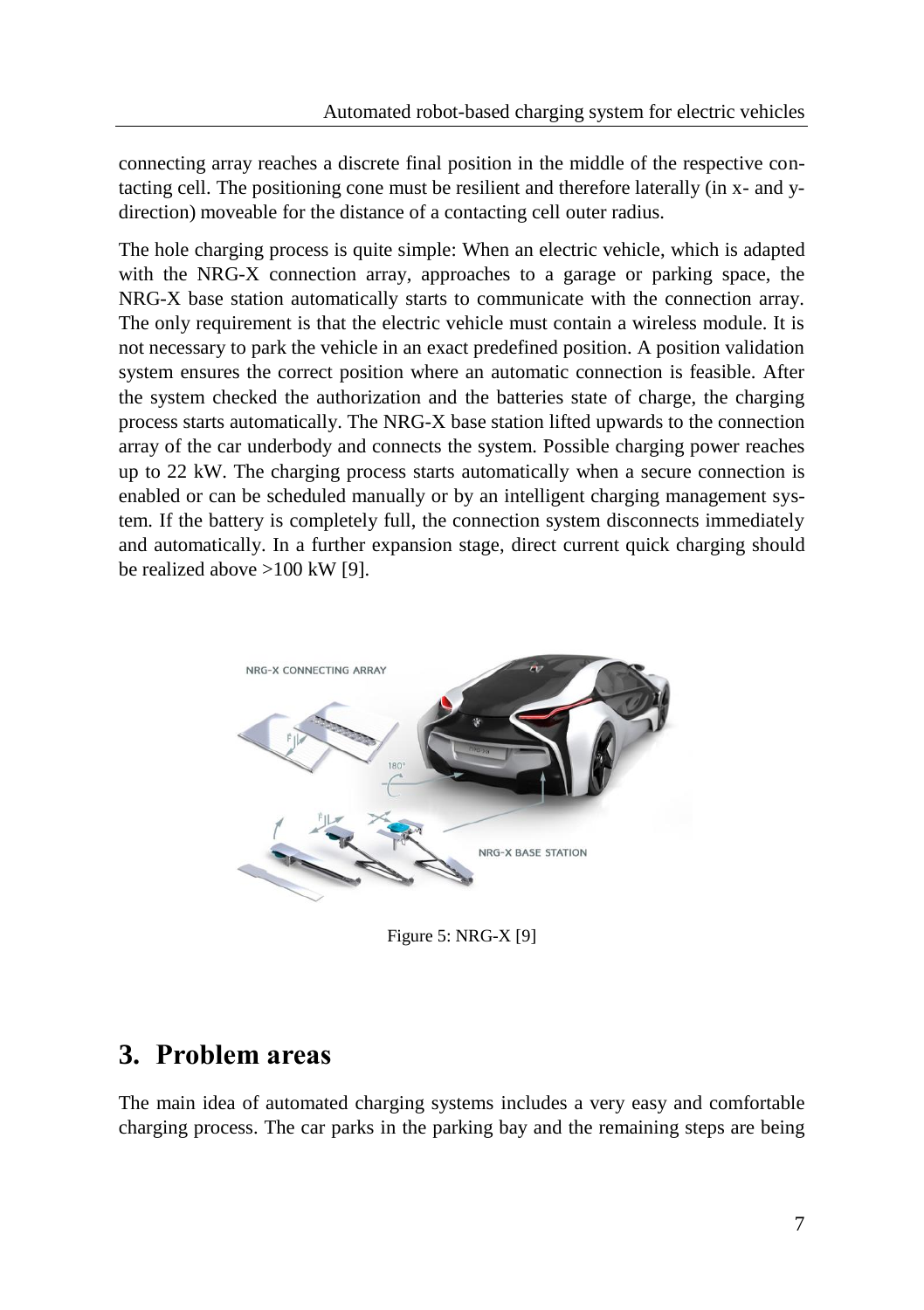connecting array reaches a discrete final position in the middle of the respective contacting cell. The positioning cone must be resilient and therefore laterally (in x- and ydirection) moveable for the distance of a contacting cell outer radius.

The hole charging process is quite simple: When an electric vehicle, which is adapted with the NRG-X connection array, approaches to a garage or parking space, the NRG-X base station automatically starts to communicate with the connection array. The only requirement is that the electric vehicle must contain a wireless module. It is not necessary to park the vehicle in an exact predefined position. A position validation system ensures the correct position where an automatic connection is feasible. After the system checked the authorization and the batteries state of charge, the charging process starts automatically. The NRG-X base station lifted upwards to the connection array of the car underbody and connects the system. Possible charging power reaches up to 22 kW. The charging process starts automatically when a secure connection is enabled or can be scheduled manually or by an intelligent charging management system. If the battery is completely full, the connection system disconnects immediately and automatically. In a further expansion stage, direct current quick charging should be realized above >100 kW [9].



Figure 5: NRG-X [9]

#### **3. Problem areas**

The main idea of automated charging systems includes a very easy and comfortable charging process. The car parks in the parking bay and the remaining steps are being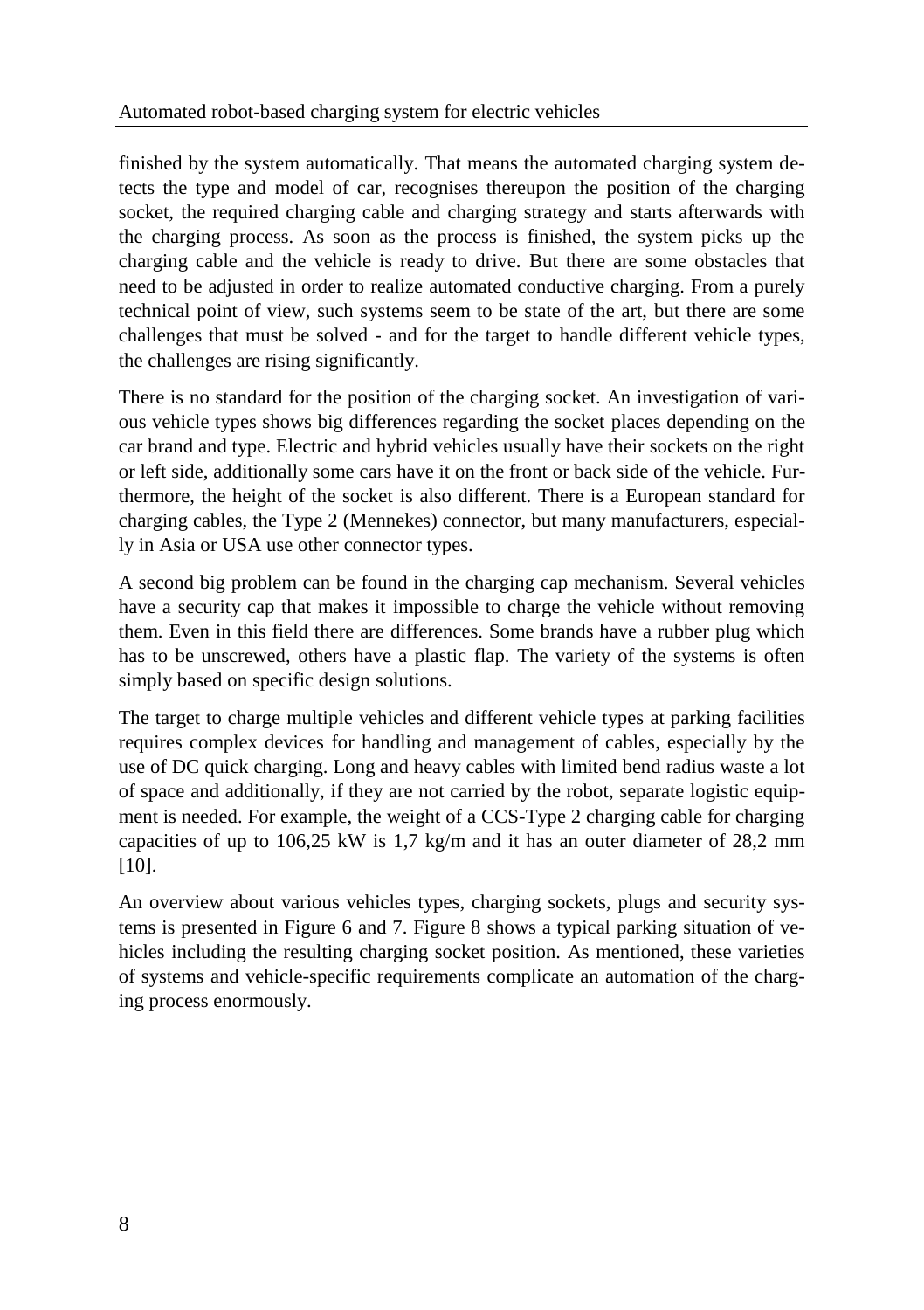finished by the system automatically. That means the automated charging system detects the type and model of car, recognises thereupon the position of the charging socket, the required charging cable and charging strategy and starts afterwards with the charging process. As soon as the process is finished, the system picks up the charging cable and the vehicle is ready to drive. But there are some obstacles that need to be adjusted in order to realize automated conductive charging. From a purely technical point of view, such systems seem to be state of the art, but there are some challenges that must be solved - and for the target to handle different vehicle types, the challenges are rising significantly.

There is no standard for the position of the charging socket. An investigation of various vehicle types shows big differences regarding the socket places depending on the car brand and type. Electric and hybrid vehicles usually have their sockets on the right or left side, additionally some cars have it on the front or back side of the vehicle. Furthermore, the height of the socket is also different. There is a European standard for charging cables, the Type 2 (Mennekes) connector, but many manufacturers, especially in Asia or USA use other connector types.

A second big problem can be found in the charging cap mechanism. Several vehicles have a security cap that makes it impossible to charge the vehicle without removing them. Even in this field there are differences. Some brands have a rubber plug which has to be unscrewed, others have a plastic flap. The variety of the systems is often simply based on specific design solutions.

The target to charge multiple vehicles and different vehicle types at parking facilities requires complex devices for handling and management of cables, especially by the use of DC quick charging. Long and heavy cables with limited bend radius waste a lot of space and additionally, if they are not carried by the robot, separate logistic equipment is needed. For example, the weight of a CCS-Type 2 charging cable for charging capacities of up to  $106,25$  kW is 1,7 kg/m and it has an outer diameter of 28,2 mm [10].

An overview about various vehicles types, charging sockets, plugs and security systems is presented in Figure 6 and 7. Figure 8 shows a typical parking situation of vehicles including the resulting charging socket position. As mentioned, these varieties of systems and vehicle-specific requirements complicate an automation of the charging process enormously.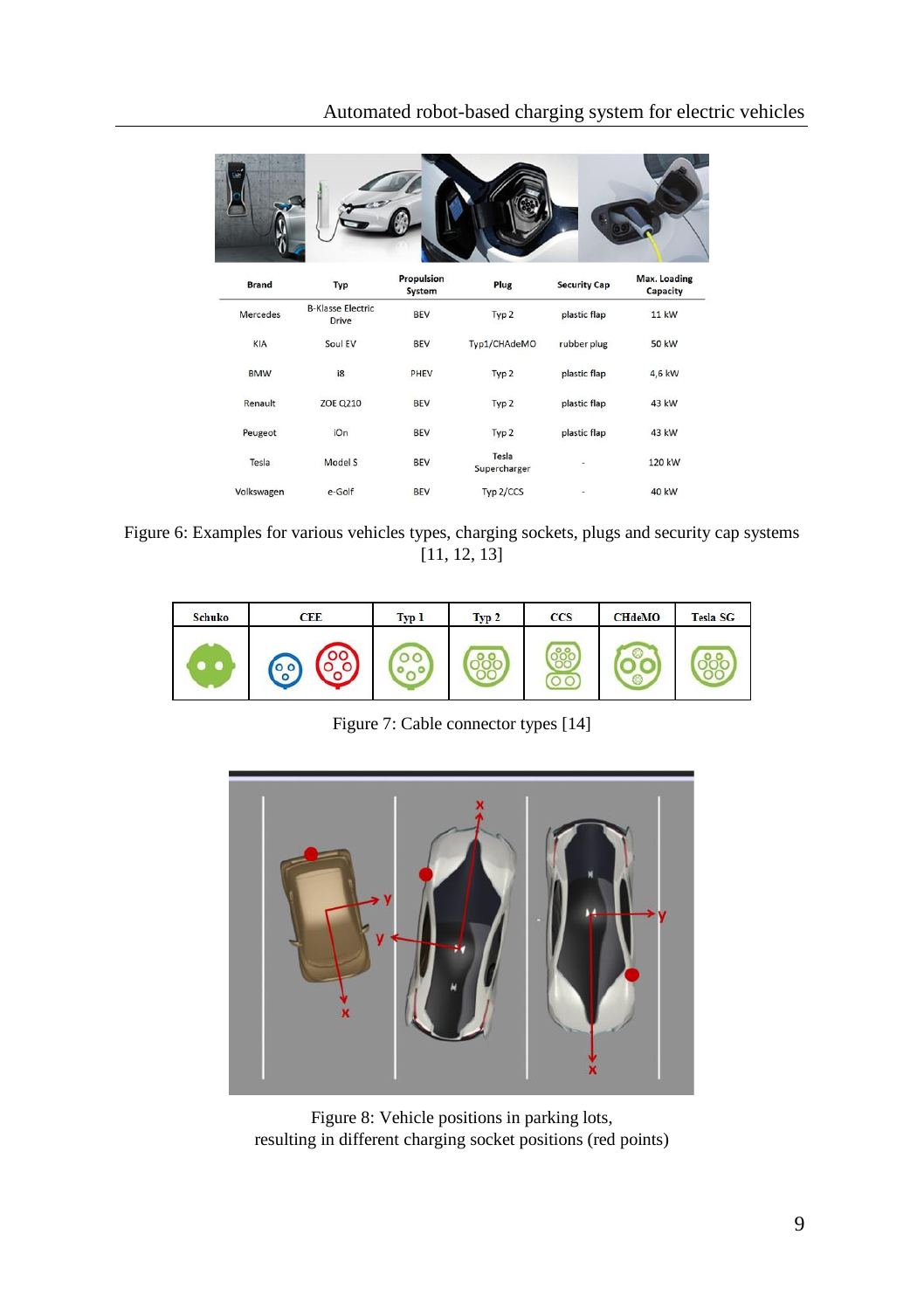| <b>Brand</b>    | Typ                                      | Propulsion<br>System | Plug                  | <b>Security Cap</b> | Max. Loading<br>Capacity |
|-----------------|------------------------------------------|----------------------|-----------------------|---------------------|--------------------------|
| <b>Mercedes</b> | <b>B-Klasse Electric</b><br><b>Drive</b> | <b>BEV</b>           | Typ <sub>2</sub>      | plastic flap        | 11 kW                    |
| KIA             | Soul EV                                  | <b>BEV</b>           | Typ1/CHAdeMO          | rubber plug         | 50 kW                    |
| <b>BMW</b>      | i8                                       | PHEV                 | Typ <sub>2</sub>      | plastic flap        | 4,6 kW                   |
| Renault         | <b>ZOE Q210</b>                          | BEV                  | Typ 2                 | plastic flap        | 43 kW                    |
| Peugeot         | iOn                                      | <b>BEV</b>           | Typ <sub>2</sub>      | plastic flap        | 43 kW                    |
| Tesla           | Model S                                  | <b>BEV</b>           | Tesla<br>Supercharger | ٠                   | 120 kW                   |
| Volkswagen      | e-Golf                                   | <b>BEV</b>           | Typ 2/CCS             |                     | 40 kW                    |

Figure 6: Examples for various vehicles types, charging sockets, plugs and security cap systems [11, 12, 13]



Figure 7: Cable connector types [14]



Figure 8: Vehicle positions in parking lots, resulting in different charging socket positions (red points)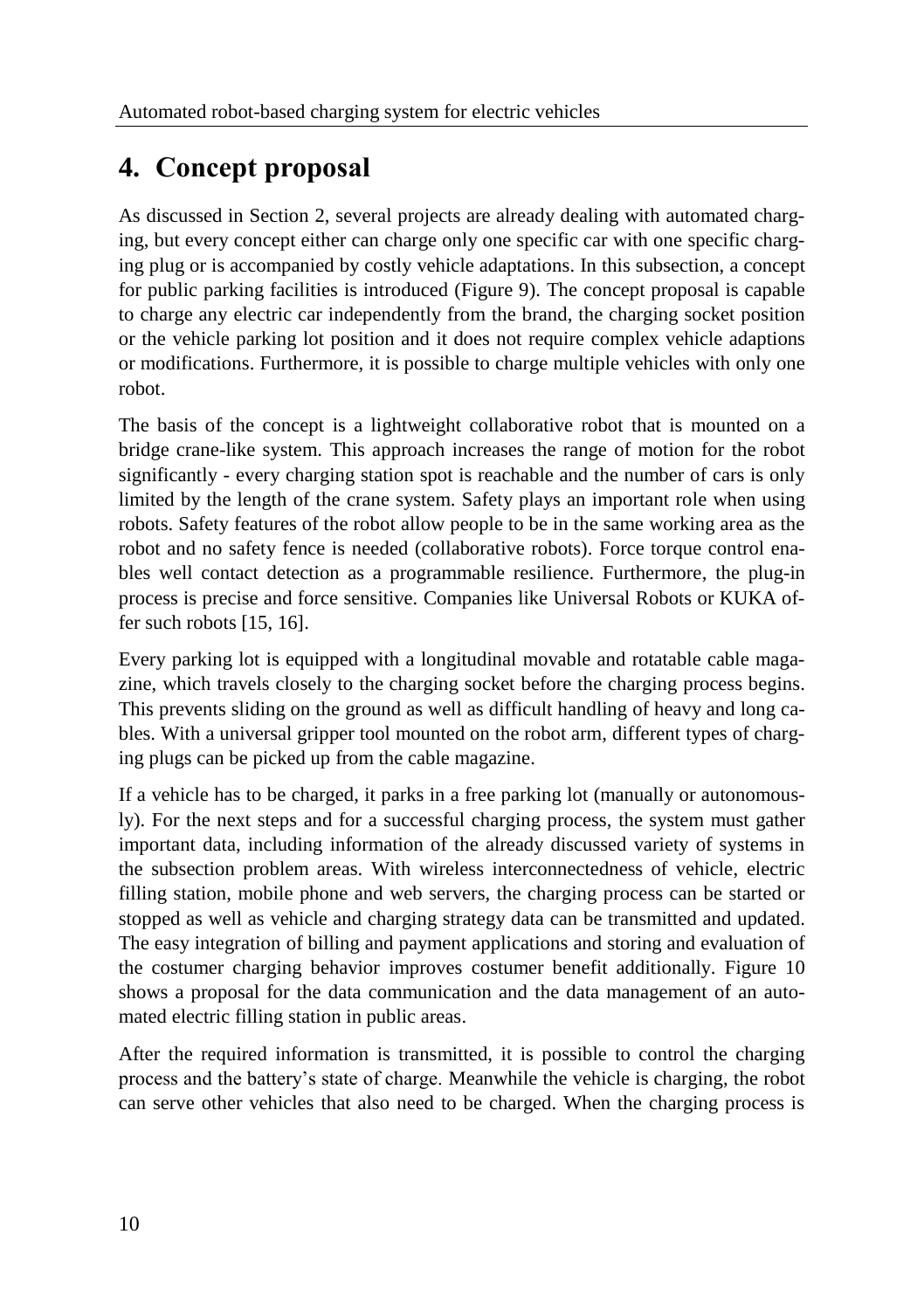# **4. Concept proposal**

As discussed in Section 2, several projects are already dealing with automated charging, but every concept either can charge only one specific car with one specific charging plug or is accompanied by costly vehicle adaptations. In this subsection, a concept for public parking facilities is introduced (Figure 9). The concept proposal is capable to charge any electric car independently from the brand, the charging socket position or the vehicle parking lot position and it does not require complex vehicle adaptions or modifications. Furthermore, it is possible to charge multiple vehicles with only one robot.

The basis of the concept is a lightweight collaborative robot that is mounted on a bridge crane-like system. This approach increases the range of motion for the robot significantly - every charging station spot is reachable and the number of cars is only limited by the length of the crane system. Safety plays an important role when using robots. Safety features of the robot allow people to be in the same working area as the robot and no safety fence is needed (collaborative robots). Force torque control enables well contact detection as a programmable resilience. Furthermore, the plug-in process is precise and force sensitive. Companies like Universal Robots or KUKA offer such robots [15, 16].

Every parking lot is equipped with a longitudinal movable and rotatable cable magazine, which travels closely to the charging socket before the charging process begins. This prevents sliding on the ground as well as difficult handling of heavy and long cables. With a universal gripper tool mounted on the robot arm, different types of charging plugs can be picked up from the cable magazine.

If a vehicle has to be charged, it parks in a free parking lot (manually or autonomously). For the next steps and for a successful charging process, the system must gather important data, including information of the already discussed variety of systems in the subsection problem areas. With wireless interconnectedness of vehicle, electric filling station, mobile phone and web servers, the charging process can be started or stopped as well as vehicle and charging strategy data can be transmitted and updated. The easy integration of billing and payment applications and storing and evaluation of the costumer charging behavior improves costumer benefit additionally. Figure 10 shows a proposal for the data communication and the data management of an automated electric filling station in public areas.

After the required information is transmitted, it is possible to control the charging process and the battery's state of charge. Meanwhile the vehicle is charging, the robot can serve other vehicles that also need to be charged. When the charging process is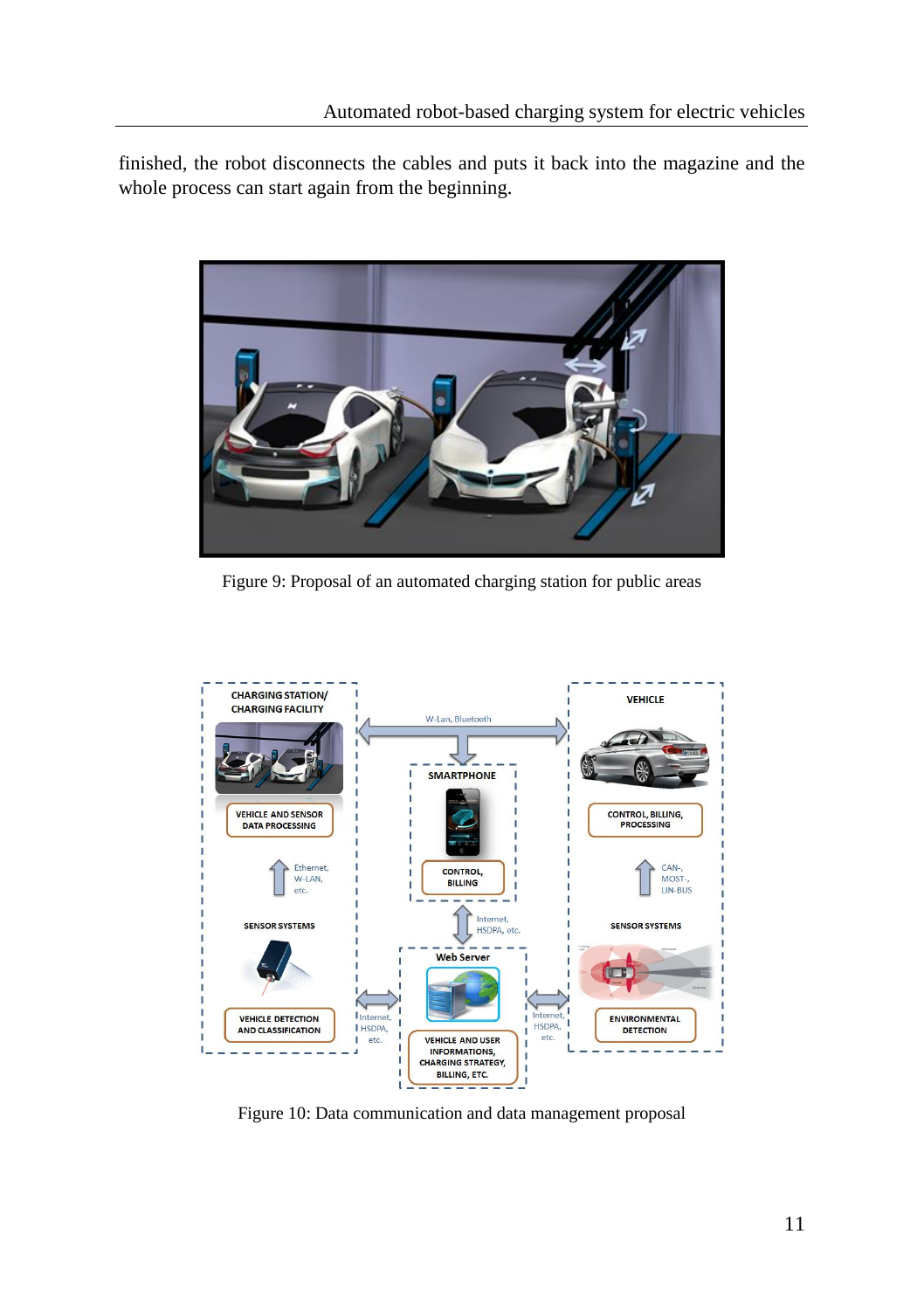finished, the robot disconnects the cables and puts it back into the magazine and the whole process can start again from the beginning.



Figure 9: Proposal of an automated charging station for public areas



Figure 10: Data communication and data management proposal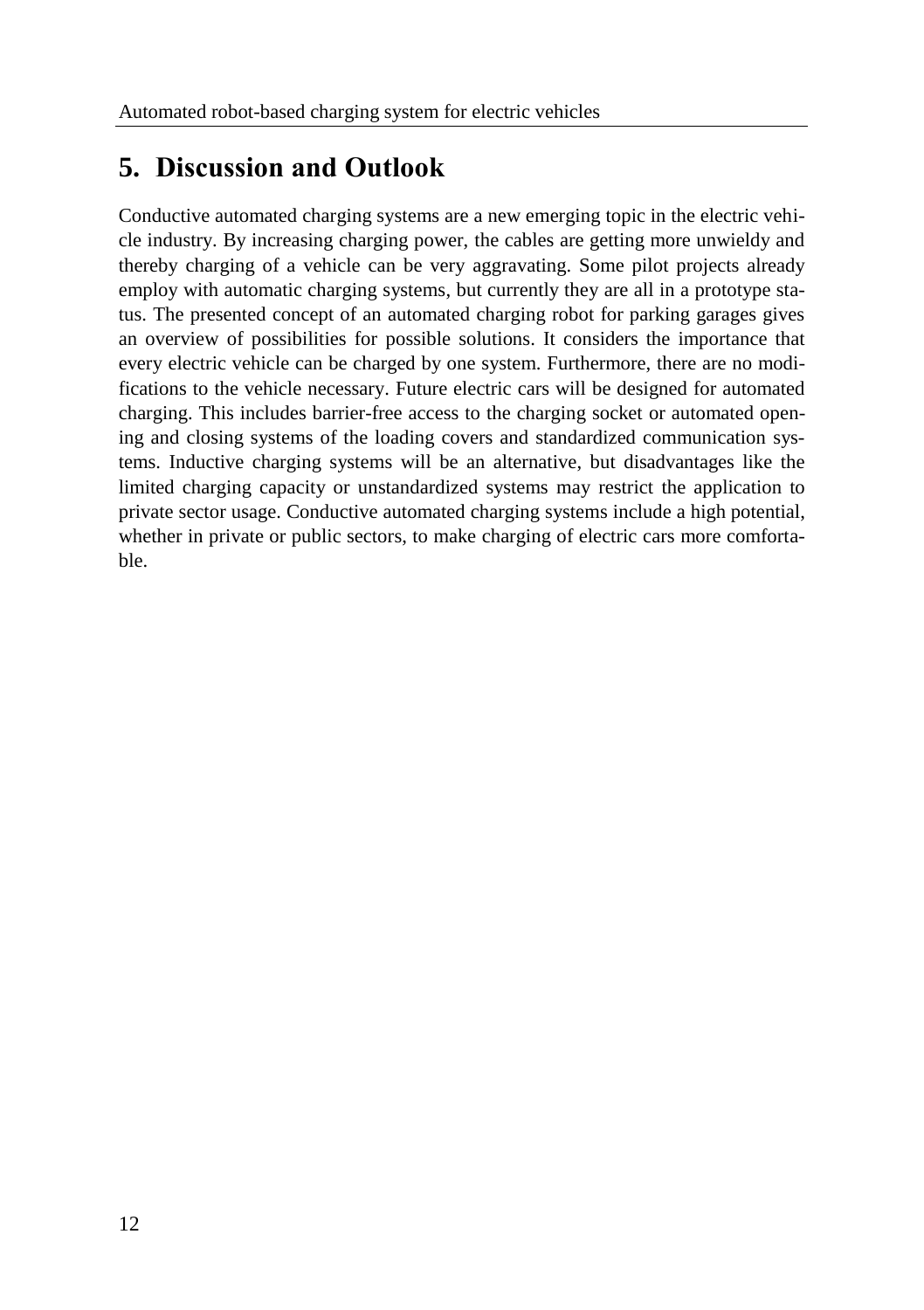## **5. Discussion and Outlook**

Conductive automated charging systems are a new emerging topic in the electric vehicle industry. By increasing charging power, the cables are getting more unwieldy and thereby charging of a vehicle can be very aggravating. Some pilot projects already employ with automatic charging systems, but currently they are all in a prototype status. The presented concept of an automated charging robot for parking garages gives an overview of possibilities for possible solutions. It considers the importance that every electric vehicle can be charged by one system. Furthermore, there are no modifications to the vehicle necessary. Future electric cars will be designed for automated charging. This includes barrier-free access to the charging socket or automated opening and closing systems of the loading covers and standardized communication systems. Inductive charging systems will be an alternative, but disadvantages like the limited charging capacity or unstandardized systems may restrict the application to private sector usage. Conductive automated charging systems include a high potential, whether in private or public sectors, to make charging of electric cars more comfortable.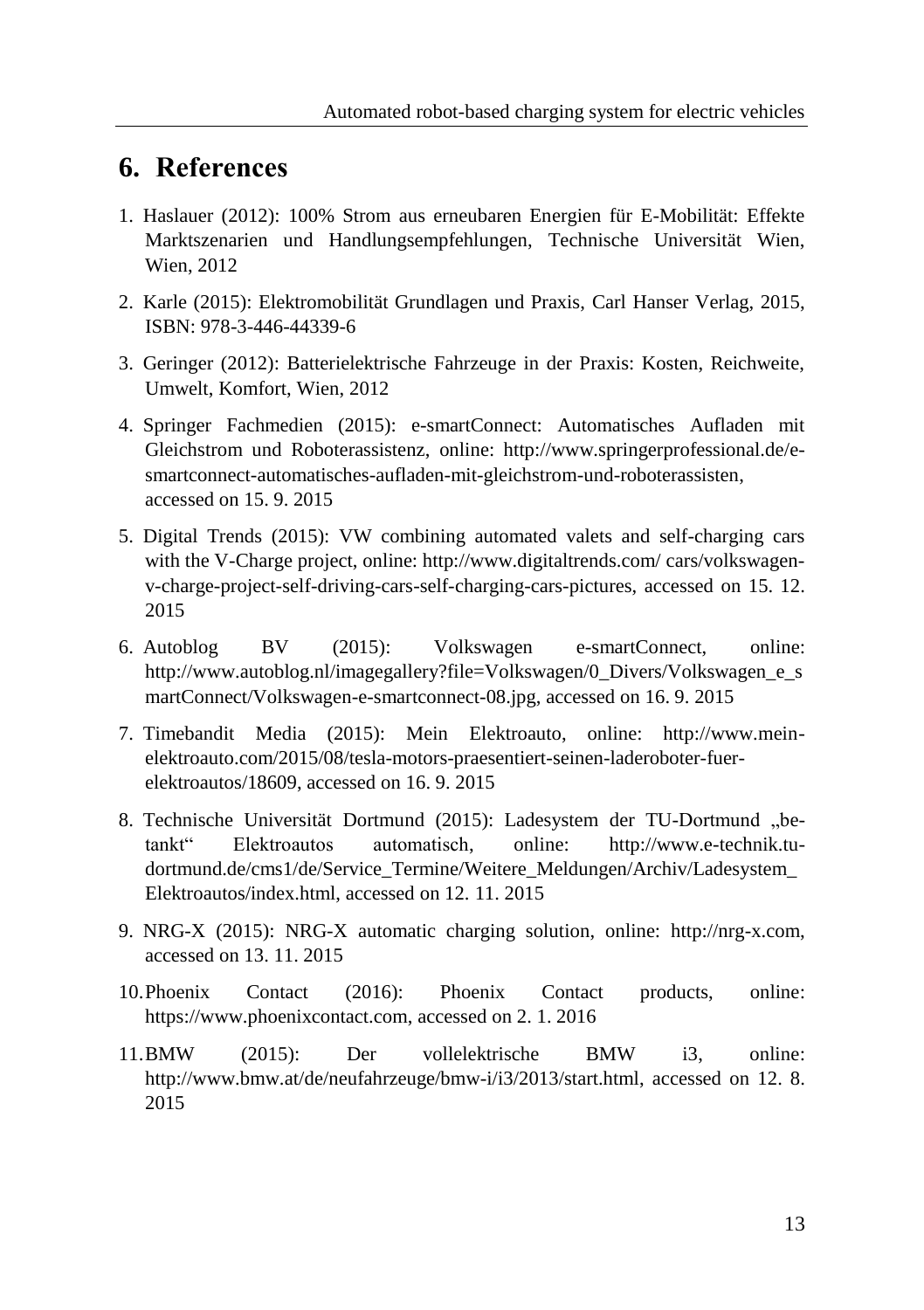#### **6. References**

- 1. Haslauer (2012): 100% Strom aus erneubaren Energien für E-Mobilität: Effekte Marktszenarien und Handlungsempfehlungen, Technische Universität Wien, Wien, 2012
- 2. Karle (2015): Elektromobilität Grundlagen und Praxis, Carl Hanser Verlag, 2015, ISBN: 978-3-446-44339-6
- 3. Geringer (2012): Batterielektrische Fahrzeuge in der Praxis: Kosten, Reichweite, Umwelt, Komfort, Wien, 2012
- 4. Springer Fachmedien (2015): e-smartConnect: Automatisches Aufladen mit Gleichstrom und Roboterassistenz, online: http://www.springerprofessional.de/esmartconnect-automatisches-aufladen-mit-gleichstrom-und-roboterassisten, accessed on 15. 9. 2015
- 5. Digital Trends (2015): VW combining automated valets and self-charging cars with the V-Charge project, online: http://www.digitaltrends.com/ cars/volkswagenv-charge-project-self-driving-cars-self-charging-cars-pictures, accessed on 15. 12. 2015
- 6. Autoblog BV (2015): Volkswagen e-smartConnect, online: http://www.autoblog.nl/imagegallery?file=Volkswagen/0\_Divers/Volkswagen\_e\_s martConnect/Volkswagen-e-smartconnect-08.jpg, accessed on 16. 9. 2015
- 7. Timebandit Media (2015): Mein Elektroauto, online: http://www.meinelektroauto.com/2015/08/tesla-motors-praesentiert-seinen-laderoboter-fuerelektroautos/18609, accessed on 16. 9. 2015
- 8. Technische Universität Dortmund (2015): Ladesystem der TU-Dortmund "betankt" Elektroautos automatisch, online: http://www.e-technik.tudortmund.de/cms1/de/Service\_Termine/Weitere\_Meldungen/Archiv/Ladesystem\_ Elektroautos/index.html, accessed on 12. 11. 2015
- 9. NRG-X (2015): NRG-X automatic charging solution, online: http://nrg-x.com, accessed on 13. 11. 2015
- 10.Phoenix Contact (2016): Phoenix Contact products, online: https://www.phoenixcontact.com, accessed on 2. 1. 2016
- 11.BMW (2015): Der vollelektrische BMW i3, online: http://www.bmw.at/de/neufahrzeuge/bmw-i/i3/2013/start.html, accessed on 12. 8. 2015